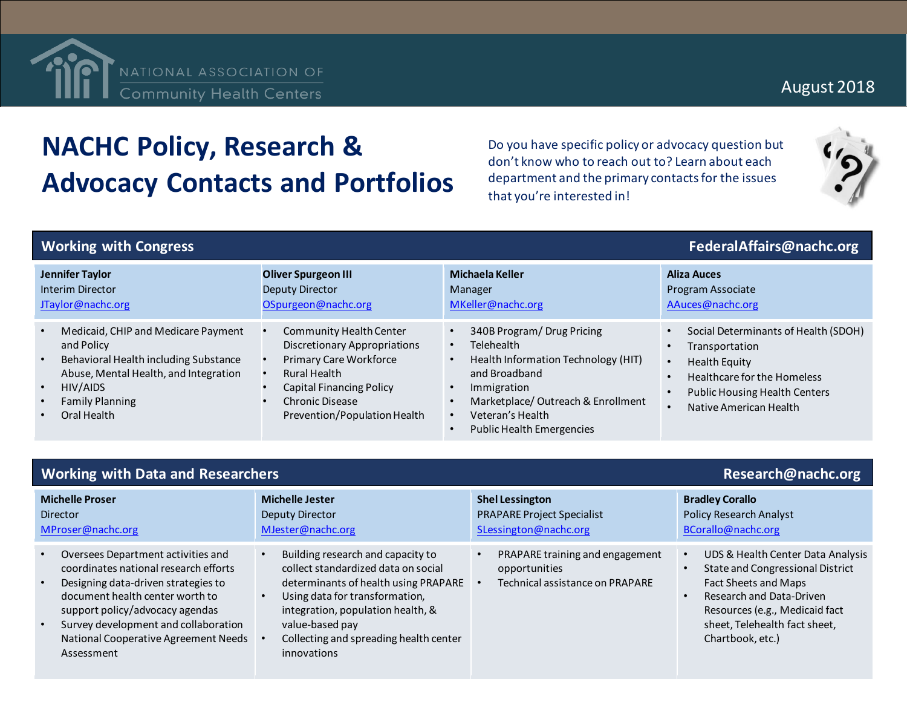

## August 2018

## **NACHC Policy, Research & Advocacy Contacts and Portfolios**

Do you have specific policy or advocacy question but don't know who to reach out to? Learn about each department and the primary contacts for the issues that you're interested in!

**Working with Congress FederalAffairs@nachc.org**

| Jennifer Taylor                                                                                                                                                                          | <b>Oliver Spurgeon III</b>                                                                                                                                                                     | Michaela Keller                                                                                                                                                                                             | <b>Aliza Auces</b>                                                                                                                                                       |
|------------------------------------------------------------------------------------------------------------------------------------------------------------------------------------------|------------------------------------------------------------------------------------------------------------------------------------------------------------------------------------------------|-------------------------------------------------------------------------------------------------------------------------------------------------------------------------------------------------------------|--------------------------------------------------------------------------------------------------------------------------------------------------------------------------|
| Interim Director                                                                                                                                                                         | Deputy Director                                                                                                                                                                                | Manager                                                                                                                                                                                                     | Program Associate                                                                                                                                                        |
| JTaylor@nachc.org                                                                                                                                                                        | OSpurgeon@nachc.org                                                                                                                                                                            | MKeller@nachc.org                                                                                                                                                                                           | AAuces@nachc.org                                                                                                                                                         |
| Medicaid, CHIP and Medicare Payment<br>and Policy<br>Behavioral Health including Substance<br>Abuse, Mental Health, and Integration<br>HIV/AIDS<br><b>Family Planning</b><br>Oral Health | Community Health Center<br><b>Discretionary Appropriations</b><br><b>Primary Care Workforce</b><br>Rural Health<br>Capital Financing Policy<br>Chronic Disease<br>Prevention/Population Health | 340B Program/Drug Pricing<br>Telehealth<br>Health Information Technology (HIT)<br>and Broadband<br>Immigration<br>Marketplace/Outreach & Enrollment<br>Veteran's Health<br><b>Public Health Emergencies</b> | Social Determinants of Health (SDOH)<br>Transportation<br>Health Equity<br>Healthcare for the Homeless<br><b>Public Housing Health Centers</b><br>Native American Health |

| <b>Working with Data and Researchers</b><br>Research@nachc.org                                                                                                                                                                                                                                                   |                                                                                                                                                                                                                                                                     |                                                                                      |                                                                                                                                                                                                                         |  |  |
|------------------------------------------------------------------------------------------------------------------------------------------------------------------------------------------------------------------------------------------------------------------------------------------------------------------|---------------------------------------------------------------------------------------------------------------------------------------------------------------------------------------------------------------------------------------------------------------------|--------------------------------------------------------------------------------------|-------------------------------------------------------------------------------------------------------------------------------------------------------------------------------------------------------------------------|--|--|
| <b>Michelle Proser</b><br>Director<br>MProser@nachc.org                                                                                                                                                                                                                                                          | <b>Michelle Jester</b><br>Deputy Director<br>MJester@nachc.org                                                                                                                                                                                                      | <b>Shel Lessington</b><br><b>PRAPARE Project Specialist</b><br>SLessington@nachc.org | <b>Bradley Corallo</b><br><b>Policy Research Analyst</b><br>BCorallo@nachc.org                                                                                                                                          |  |  |
| Oversees Department activities and<br>coordinates national research efforts<br>Designing data-driven strategies to<br>$\bullet$<br>document health center worth to<br>support policy/advocacy agendas<br>Survey development and collaboration<br>$\bullet$<br>National Cooperative Agreement Needs<br>Assessment | Building research and capacity to<br>collect standardized data on social<br>determinants of health using PRAPARE<br>Using data for transformation,<br>integration, population health, &<br>value-based pay<br>Collecting and spreading health center<br>innovations | PRAPARE training and engagement<br>opportunities<br>Technical assistance on PRAPARE  | UDS & Health Center Data Analysis<br><b>State and Congressional District</b><br>Fact Sheets and Maps<br>Research and Data-Driven<br>Resources (e.g., Medicaid fact<br>sheet, Telehealth fact sheet,<br>Chartbook, etc.) |  |  |